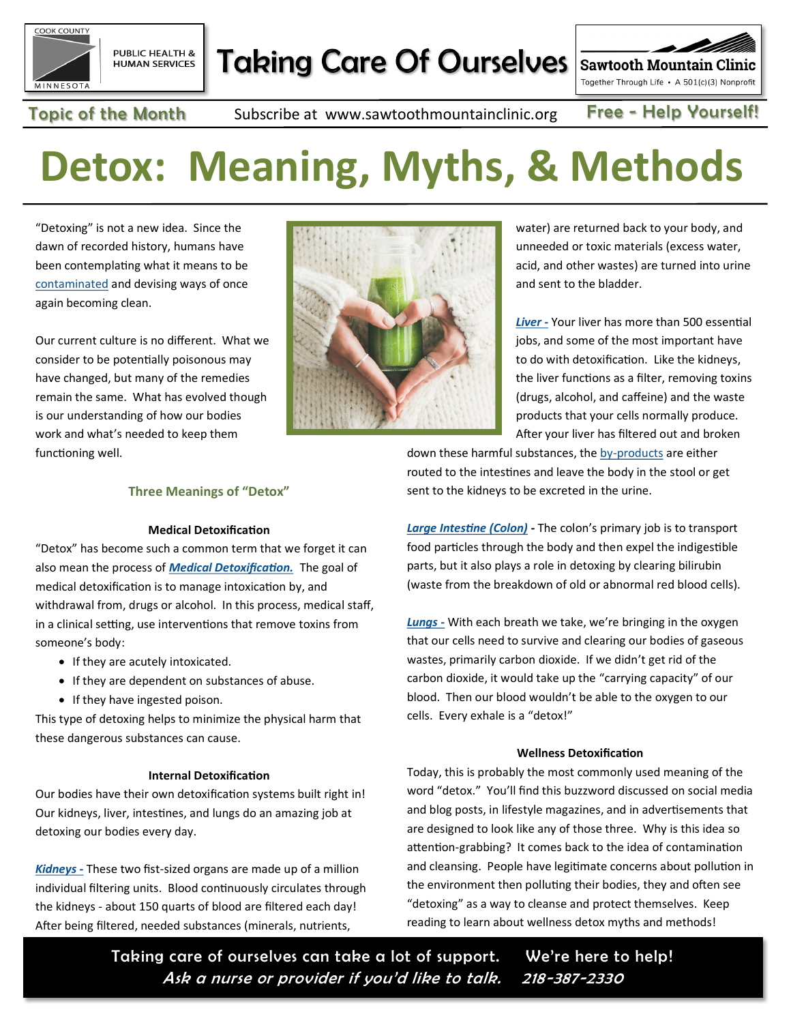

# **Taking Care Of Ourselves**

**Sawtooth Mountain Clinic** Together Through Life • A 501(c)(3) Nonprofit

Topic of the Month Subscribe at www.sawtoothmountainclinic.org Free - Help Yourself!

# **Detox: Meaning, Myths, & Methods**

"Detoxing" is not a new idea. Since the dawn of recorded history, humans have been contemplating what it means to be [contaminated](https://www.britannica.com/topic/purification-rite/Types-of-purification-rites) and devising ways of once again becoming clean.

Our current culture is no different. What we consider to be potentially poisonous may have changed, but many of the remedies remain the same. What has evolved though is our understanding of how our bodies work and what's needed to keep them functioning well.



water) are returned back to your body, and unneeded or toxic materials (excess water, acid, and other wastes) are turned into urine and sent to the bladder.

*[Liver](https://sawtoothmountainclinic.org/wp-content/uploads/2022/05/TOM-May-2022-Liver-Love.pdf) -* Your liver has more than 500 essential jobs, and some of the most important have to do with detoxification. Like the kidneys, the liver functions as a filter, removing toxins (drugs, alcohol, and caffeine) and the waste products that your cells normally produce. After your liver has filtered out and broken

down these harmful substances, the by-[products](https://www.stanfordchildrens.org/en/topic/default?id=how-the-liver-works-90-P02006) are either routed to the intestines and leave the body in the stool or get sent to the kidneys to be excreted in the urine.

*[Large Intestine \(Colon\)](https://en.wikipedia.org/wiki/Excretory_system) -* The colon's primary job is to transport food particles through the body and then expel the indigestible parts, but it also plays a role in detoxing by clearing bilirubin (waste from the breakdown of old or abnormal red blood cells).

*[Lungs](https://en.wikipedia.org/wiki/Excretory_system) -* With each breath we take, we're bringing in the oxygen that our cells need to survive and clearing our bodies of gaseous wastes, primarily carbon dioxide. If we didn't get rid of the carbon dioxide, it would take up the "carrying capacity" of our blood. Then our blood wouldn't be able to the oxygen to our cells. Every exhale is a "detox!"

## **Wellness Detoxification**

Today, this is probably the most commonly used meaning of the word "detox." You'll find this buzzword discussed on social media and blog posts, in lifestyle magazines, and in advertisements that are designed to look like any of those three. Why is this idea so attention-grabbing? It comes back to the idea of contamination and cleansing. People have legitimate concerns about pollution in the environment then polluting their bodies, they and often see "detoxing" as a way to cleanse and protect themselves. Keep reading to learn about wellness detox myths and methods!

Taking care of ourselves can take a lot of support. We're here to help! Ask a nurse or provider if you'd like to talk. 218-387-2330

# **Three Meanings of "Detox"**

#### **Medical Detoxification**

"Detox" has become such a common term that we forget it can also mean the process of *[Medical Detoxification.](https://www.ncbi.nlm.nih.gov/books/NBK64119/)* The goal of medical detoxification is to manage intoxication by, and withdrawal from, drugs or alcohol. In this process, medical staff, in a clinical setting, use interventions that remove toxins from someone's body:

- If they are acutely intoxicated.
- If they are dependent on substances of abuse.
- If they have ingested poison.

This type of detoxing helps to minimize the physical harm that these dangerous substances can cause.

## **Internal Detoxification**

Our bodies have their own detoxification systems built right in! Our kidneys, liver, intestines, and lungs do an amazing job at detoxing our bodies every day.

*[Kidneys](https://www.niddk.nih.gov/health-information/kidney-disease/kidneys-how-they-work#:~:text=Your%20kidneys%20remove%20wastes%20and,and%20potassium%E2%80%94in%20your%20blood)* **-** These two fist-sized organs are made up of a million individual filtering units. Blood continuously circulates through the kidneys - about 150 quarts of blood are filtered each day! After being filtered, needed substances (minerals, nutrients,